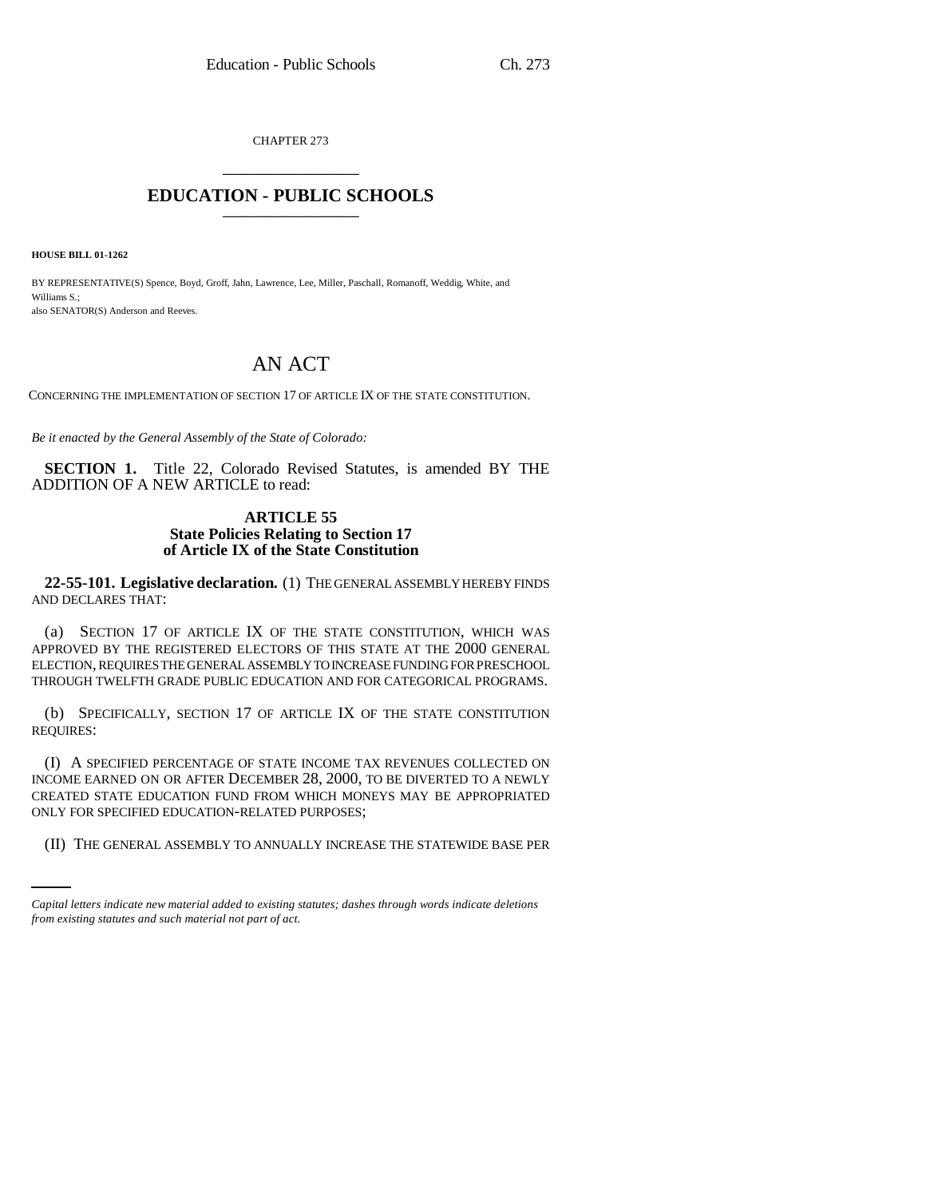CHAPTER 273 \_\_\_\_\_\_\_\_\_\_\_\_\_\_\_

# **EDUCATION - PUBLIC SCHOOLS** \_\_\_\_\_\_\_\_\_\_\_\_\_\_\_

**HOUSE BILL 01-1262**

BY REPRESENTATIVE(S) Spence, Boyd, Groff, Jahn, Lawrence, Lee, Miller, Paschall, Romanoff, Weddig, White, and Williams S.; also SENATOR(S) Anderson and Reeves.

# AN ACT

CONCERNING THE IMPLEMENTATION OF SECTION 17 OF ARTICLE IX OF THE STATE CONSTITUTION.

*Be it enacted by the General Assembly of the State of Colorado:*

**SECTION 1.** Title 22, Colorado Revised Statutes, is amended BY THE ADDITION OF A NEW ARTICLE to read:

## **ARTICLE 55 State Policies Relating to Section 17 of Article IX of the State Constitution**

**22-55-101. Legislative declaration.** (1) THE GENERAL ASSEMBLY HEREBY FINDS AND DECLARES THAT:

(a) SECTION 17 OF ARTICLE IX OF THE STATE CONSTITUTION, WHICH WAS APPROVED BY THE REGISTERED ELECTORS OF THIS STATE AT THE 2000 GENERAL ELECTION, REQUIRES THE GENERAL ASSEMBLY TO INCREASE FUNDING FOR PRESCHOOL THROUGH TWELFTH GRADE PUBLIC EDUCATION AND FOR CATEGORICAL PROGRAMS.

(b) SPECIFICALLY, SECTION 17 OF ARTICLE IX OF THE STATE CONSTITUTION REQUIRES:

ONLY FOR SPECIFIED EDUCATION-RELATED PURPOSES; (I) A SPECIFIED PERCENTAGE OF STATE INCOME TAX REVENUES COLLECTED ON INCOME EARNED ON OR AFTER DECEMBER 28, 2000, TO BE DIVERTED TO A NEWLY CREATED STATE EDUCATION FUND FROM WHICH MONEYS MAY BE APPROPRIATED

(II) THE GENERAL ASSEMBLY TO ANNUALLY INCREASE THE STATEWIDE BASE PER

*Capital letters indicate new material added to existing statutes; dashes through words indicate deletions from existing statutes and such material not part of act.*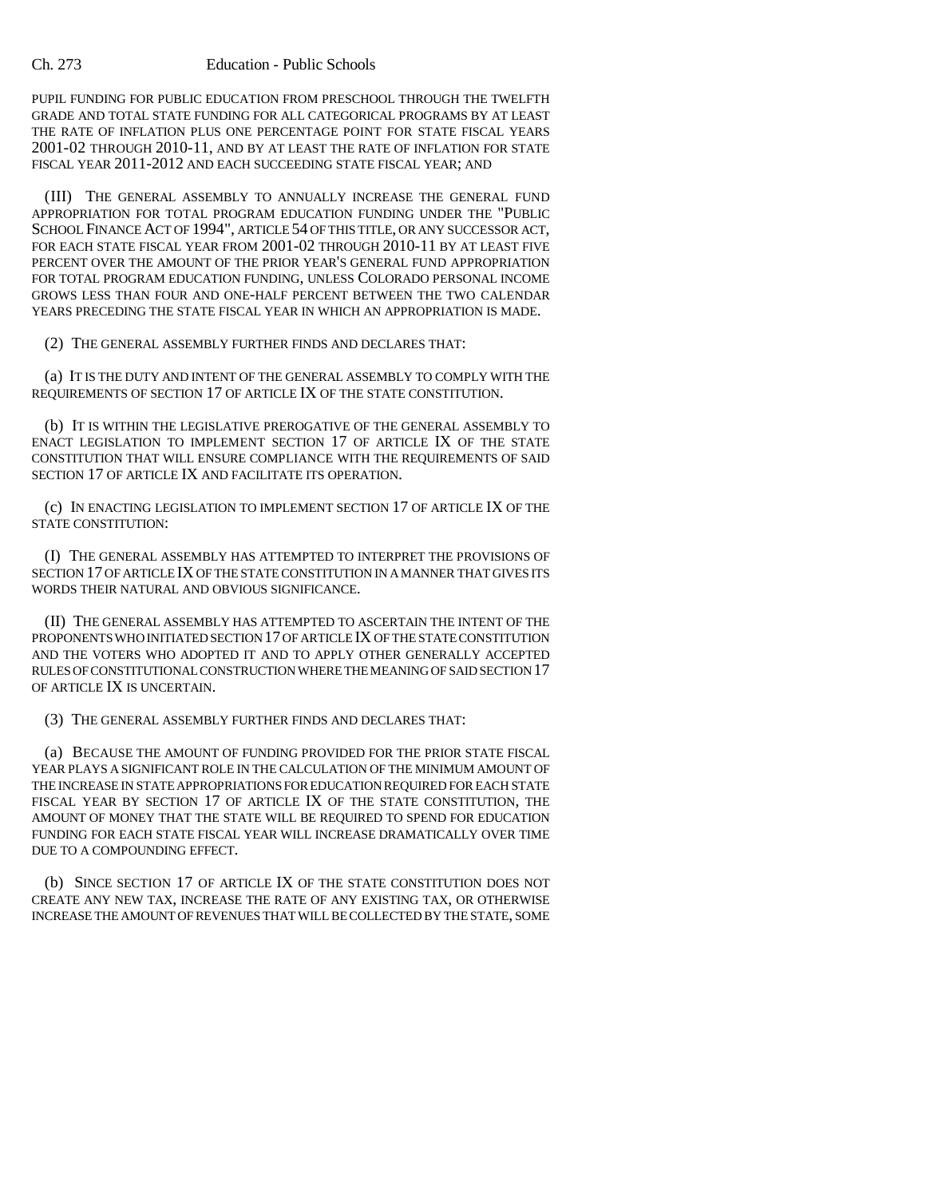#### Ch. 273 Education - Public Schools

PUPIL FUNDING FOR PUBLIC EDUCATION FROM PRESCHOOL THROUGH THE TWELFTH GRADE AND TOTAL STATE FUNDING FOR ALL CATEGORICAL PROGRAMS BY AT LEAST THE RATE OF INFLATION PLUS ONE PERCENTAGE POINT FOR STATE FISCAL YEARS 2001-02 THROUGH 2010-11, AND BY AT LEAST THE RATE OF INFLATION FOR STATE FISCAL YEAR 2011-2012 AND EACH SUCCEEDING STATE FISCAL YEAR; AND

(III) THE GENERAL ASSEMBLY TO ANNUALLY INCREASE THE GENERAL FUND APPROPRIATION FOR TOTAL PROGRAM EDUCATION FUNDING UNDER THE "PUBLIC SCHOOL FINANCE ACT OF 1994", ARTICLE 54 OF THIS TITLE, OR ANY SUCCESSOR ACT, FOR EACH STATE FISCAL YEAR FROM 2001-02 THROUGH 2010-11 BY AT LEAST FIVE PERCENT OVER THE AMOUNT OF THE PRIOR YEAR'S GENERAL FUND APPROPRIATION FOR TOTAL PROGRAM EDUCATION FUNDING, UNLESS COLORADO PERSONAL INCOME GROWS LESS THAN FOUR AND ONE-HALF PERCENT BETWEEN THE TWO CALENDAR YEARS PRECEDING THE STATE FISCAL YEAR IN WHICH AN APPROPRIATION IS MADE.

(2) THE GENERAL ASSEMBLY FURTHER FINDS AND DECLARES THAT:

(a) IT IS THE DUTY AND INTENT OF THE GENERAL ASSEMBLY TO COMPLY WITH THE REQUIREMENTS OF SECTION 17 OF ARTICLE IX OF THE STATE CONSTITUTION.

(b) IT IS WITHIN THE LEGISLATIVE PREROGATIVE OF THE GENERAL ASSEMBLY TO ENACT LEGISLATION TO IMPLEMENT SECTION 17 OF ARTICLE IX OF THE STATE CONSTITUTION THAT WILL ENSURE COMPLIANCE WITH THE REQUIREMENTS OF SAID SECTION 17 OF ARTICLE IX AND FACILITATE ITS OPERATION.

(c) IN ENACTING LEGISLATION TO IMPLEMENT SECTION 17 OF ARTICLE IX OF THE STATE CONSTITUTION:

(I) THE GENERAL ASSEMBLY HAS ATTEMPTED TO INTERPRET THE PROVISIONS OF SECTION 17 OF ARTICLE IX OF THE STATE CONSTITUTION IN A MANNER THAT GIVES ITS WORDS THEIR NATURAL AND OBVIOUS SIGNIFICANCE.

(II) THE GENERAL ASSEMBLY HAS ATTEMPTED TO ASCERTAIN THE INTENT OF THE PROPONENTS WHO INITIATED SECTION 17 OF ARTICLE IX OF THE STATE CONSTITUTION AND THE VOTERS WHO ADOPTED IT AND TO APPLY OTHER GENERALLY ACCEPTED RULES OF CONSTITUTIONAL CONSTRUCTION WHERE THE MEANING OF SAID SECTION 17 OF ARTICLE IX IS UNCERTAIN.

(3) THE GENERAL ASSEMBLY FURTHER FINDS AND DECLARES THAT:

(a) BECAUSE THE AMOUNT OF FUNDING PROVIDED FOR THE PRIOR STATE FISCAL YEAR PLAYS A SIGNIFICANT ROLE IN THE CALCULATION OF THE MINIMUM AMOUNT OF THE INCREASE IN STATE APPROPRIATIONS FOR EDUCATION REQUIRED FOR EACH STATE FISCAL YEAR BY SECTION 17 OF ARTICLE IX OF THE STATE CONSTITUTION, THE AMOUNT OF MONEY THAT THE STATE WILL BE REQUIRED TO SPEND FOR EDUCATION FUNDING FOR EACH STATE FISCAL YEAR WILL INCREASE DRAMATICALLY OVER TIME DUE TO A COMPOUNDING EFFECT.

(b) SINCE SECTION 17 OF ARTICLE IX OF THE STATE CONSTITUTION DOES NOT CREATE ANY NEW TAX, INCREASE THE RATE OF ANY EXISTING TAX, OR OTHERWISE INCREASE THE AMOUNT OF REVENUES THAT WILL BE COLLECTED BY THE STATE, SOME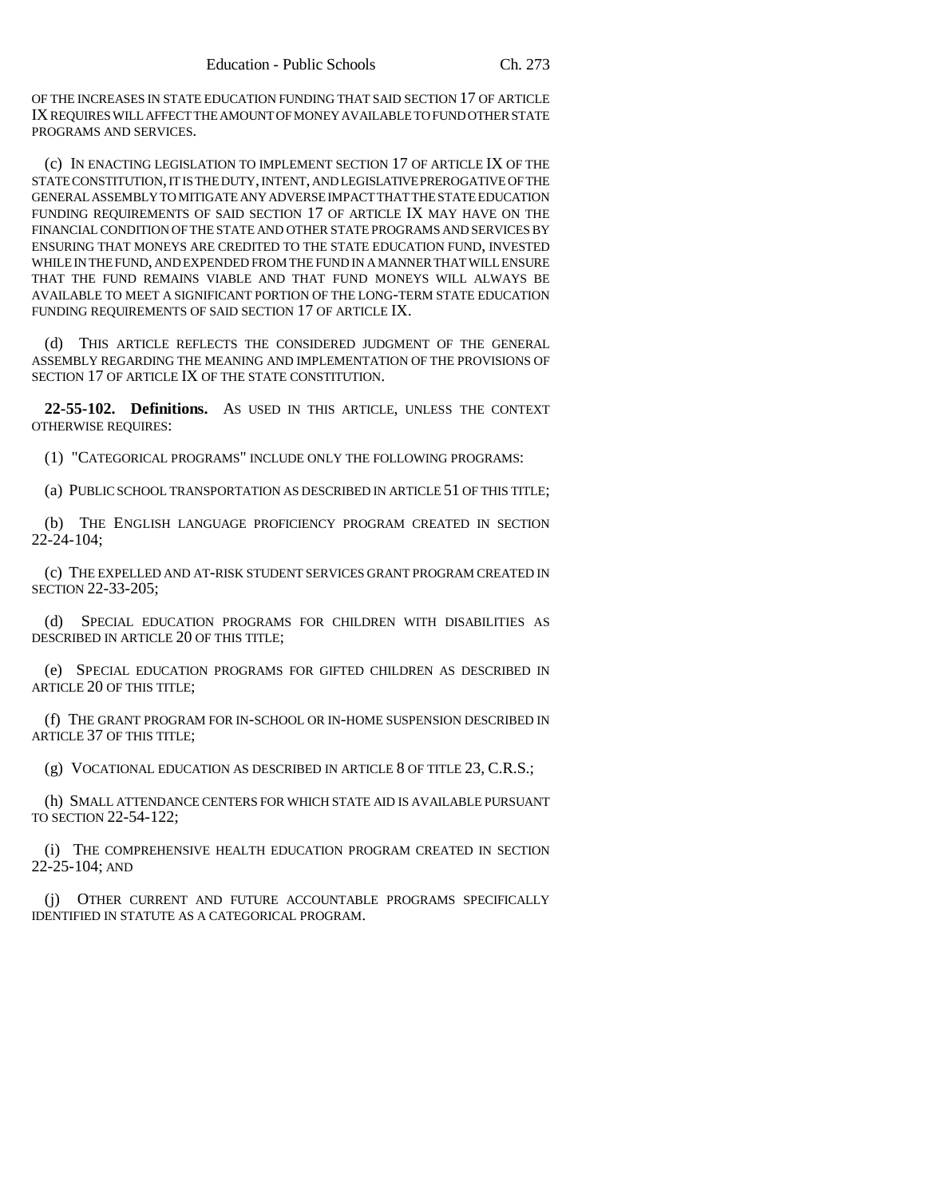OF THE INCREASES IN STATE EDUCATION FUNDING THAT SAID SECTION 17 OF ARTICLE IX REQUIRES WILL AFFECT THE AMOUNT OF MONEY AVAILABLE TO FUND OTHER STATE PROGRAMS AND SERVICES.

(c) IN ENACTING LEGISLATION TO IMPLEMENT SECTION 17 OF ARTICLE IX OF THE STATE CONSTITUTION, IT IS THE DUTY, INTENT, AND LEGISLATIVE PREROGATIVE OF THE GENERAL ASSEMBLY TO MITIGATE ANY ADVERSE IMPACT THAT THE STATE EDUCATION FUNDING REQUIREMENTS OF SAID SECTION 17 OF ARTICLE IX MAY HAVE ON THE FINANCIAL CONDITION OF THE STATE AND OTHER STATE PROGRAMS AND SERVICES BY ENSURING THAT MONEYS ARE CREDITED TO THE STATE EDUCATION FUND, INVESTED WHILE IN THE FUND, AND EXPENDED FROM THE FUND IN A MANNER THAT WILL ENSURE THAT THE FUND REMAINS VIABLE AND THAT FUND MONEYS WILL ALWAYS BE AVAILABLE TO MEET A SIGNIFICANT PORTION OF THE LONG-TERM STATE EDUCATION FUNDING REQUIREMENTS OF SAID SECTION 17 OF ARTICLE IX.

(d) THIS ARTICLE REFLECTS THE CONSIDERED JUDGMENT OF THE GENERAL ASSEMBLY REGARDING THE MEANING AND IMPLEMENTATION OF THE PROVISIONS OF SECTION 17 OF ARTICLE IX OF THE STATE CONSTITUTION.

**22-55-102. Definitions.** AS USED IN THIS ARTICLE, UNLESS THE CONTEXT OTHERWISE REQUIRES:

(1) "CATEGORICAL PROGRAMS" INCLUDE ONLY THE FOLLOWING PROGRAMS:

(a) PUBLIC SCHOOL TRANSPORTATION AS DESCRIBED IN ARTICLE 51 OF THIS TITLE;

(b) THE ENGLISH LANGUAGE PROFICIENCY PROGRAM CREATED IN SECTION  $22 - 24 - 104$ ;

(c) THE EXPELLED AND AT-RISK STUDENT SERVICES GRANT PROGRAM CREATED IN SECTION 22-33-205;

(d) SPECIAL EDUCATION PROGRAMS FOR CHILDREN WITH DISABILITIES AS DESCRIBED IN ARTICLE 20 OF THIS TITLE;

(e) SPECIAL EDUCATION PROGRAMS FOR GIFTED CHILDREN AS DESCRIBED IN ARTICLE 20 OF THIS TITLE;

(f) THE GRANT PROGRAM FOR IN-SCHOOL OR IN-HOME SUSPENSION DESCRIBED IN ARTICLE 37 OF THIS TITLE;

(g) VOCATIONAL EDUCATION AS DESCRIBED IN ARTICLE 8 OF TITLE 23, C.R.S.;

(h) SMALL ATTENDANCE CENTERS FOR WHICH STATE AID IS AVAILABLE PURSUANT TO SECTION 22-54-122;

(i) THE COMPREHENSIVE HEALTH EDUCATION PROGRAM CREATED IN SECTION 22-25-104; AND

(j) OTHER CURRENT AND FUTURE ACCOUNTABLE PROGRAMS SPECIFICALLY IDENTIFIED IN STATUTE AS A CATEGORICAL PROGRAM.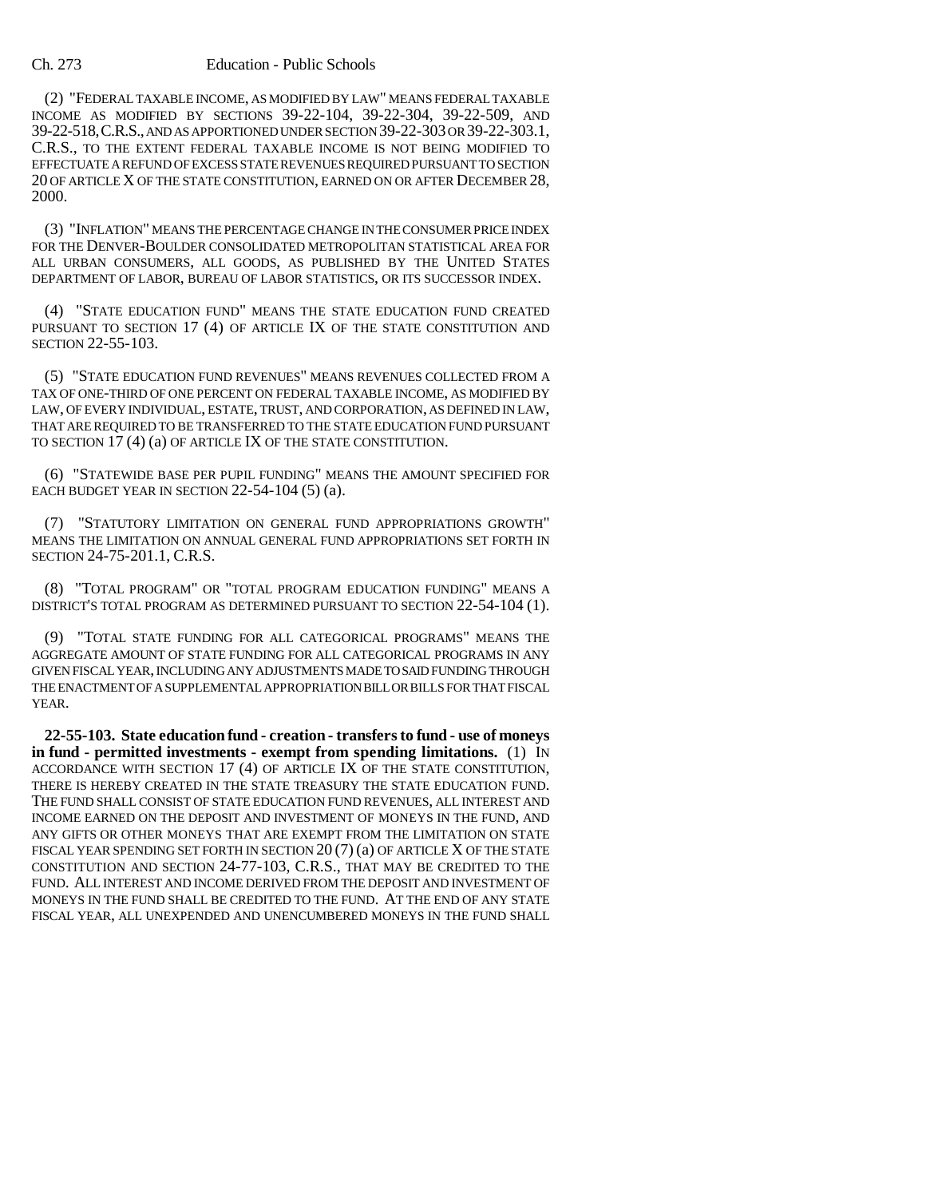#### Ch. 273 Education - Public Schools

(2) "FEDERAL TAXABLE INCOME, AS MODIFIED BY LAW" MEANS FEDERAL TAXABLE INCOME AS MODIFIED BY SECTIONS 39-22-104, 39-22-304, 39-22-509, AND 39-22-518,C.R.S., AND AS APPORTIONED UNDER SECTION 39-22-303 OR 39-22-303.1, C.R.S., TO THE EXTENT FEDERAL TAXABLE INCOME IS NOT BEING MODIFIED TO EFFECTUATE A REFUND OF EXCESS STATE REVENUES REQUIRED PURSUANT TO SECTION 20 OF ARTICLE X OF THE STATE CONSTITUTION, EARNED ON OR AFTER DECEMBER 28, 2000.

(3) "INFLATION" MEANS THE PERCENTAGE CHANGE IN THE CONSUMER PRICE INDEX FOR THE DENVER-BOULDER CONSOLIDATED METROPOLITAN STATISTICAL AREA FOR ALL URBAN CONSUMERS, ALL GOODS, AS PUBLISHED BY THE UNITED STATES DEPARTMENT OF LABOR, BUREAU OF LABOR STATISTICS, OR ITS SUCCESSOR INDEX.

(4) "STATE EDUCATION FUND" MEANS THE STATE EDUCATION FUND CREATED PURSUANT TO SECTION 17 (4) OF ARTICLE IX OF THE STATE CONSTITUTION AND SECTION 22-55-103.

(5) "STATE EDUCATION FUND REVENUES" MEANS REVENUES COLLECTED FROM A TAX OF ONE-THIRD OF ONE PERCENT ON FEDERAL TAXABLE INCOME, AS MODIFIED BY LAW, OF EVERY INDIVIDUAL, ESTATE, TRUST, AND CORPORATION, AS DEFINED IN LAW, THAT ARE REQUIRED TO BE TRANSFERRED TO THE STATE EDUCATION FUND PURSUANT TO SECTION 17 (4) (a) OF ARTICLE IX OF THE STATE CONSTITUTION.

(6) "STATEWIDE BASE PER PUPIL FUNDING" MEANS THE AMOUNT SPECIFIED FOR EACH BUDGET YEAR IN SECTION 22-54-104 (5) (a).

(7) "STATUTORY LIMITATION ON GENERAL FUND APPROPRIATIONS GROWTH" MEANS THE LIMITATION ON ANNUAL GENERAL FUND APPROPRIATIONS SET FORTH IN SECTION 24-75-201.1, C.R.S.

(8) "TOTAL PROGRAM" OR "TOTAL PROGRAM EDUCATION FUNDING" MEANS A DISTRICT'S TOTAL PROGRAM AS DETERMINED PURSUANT TO SECTION 22-54-104 (1).

(9) "TOTAL STATE FUNDING FOR ALL CATEGORICAL PROGRAMS" MEANS THE AGGREGATE AMOUNT OF STATE FUNDING FOR ALL CATEGORICAL PROGRAMS IN ANY GIVEN FISCAL YEAR, INCLUDING ANY ADJUSTMENTS MADE TO SAID FUNDING THROUGH THE ENACTMENT OF A SUPPLEMENTAL APPROPRIATION BILL OR BILLS FOR THAT FISCAL YEAR.

**22-55-103. State education fund - creation - transfers to fund - use of moneys in fund - permitted investments - exempt from spending limitations.** (1) IN ACCORDANCE WITH SECTION 17 (4) OF ARTICLE IX OF THE STATE CONSTITUTION, THERE IS HEREBY CREATED IN THE STATE TREASURY THE STATE EDUCATION FUND. THE FUND SHALL CONSIST OF STATE EDUCATION FUND REVENUES, ALL INTEREST AND INCOME EARNED ON THE DEPOSIT AND INVESTMENT OF MONEYS IN THE FUND, AND ANY GIFTS OR OTHER MONEYS THAT ARE EXEMPT FROM THE LIMITATION ON STATE FISCAL YEAR SPENDING SET FORTH IN SECTION  $20(7)(a)$  OF ARTICLE X OF THE STATE CONSTITUTION AND SECTION 24-77-103, C.R.S., THAT MAY BE CREDITED TO THE FUND. ALL INTEREST AND INCOME DERIVED FROM THE DEPOSIT AND INVESTMENT OF MONEYS IN THE FUND SHALL BE CREDITED TO THE FUND. AT THE END OF ANY STATE FISCAL YEAR, ALL UNEXPENDED AND UNENCUMBERED MONEYS IN THE FUND SHALL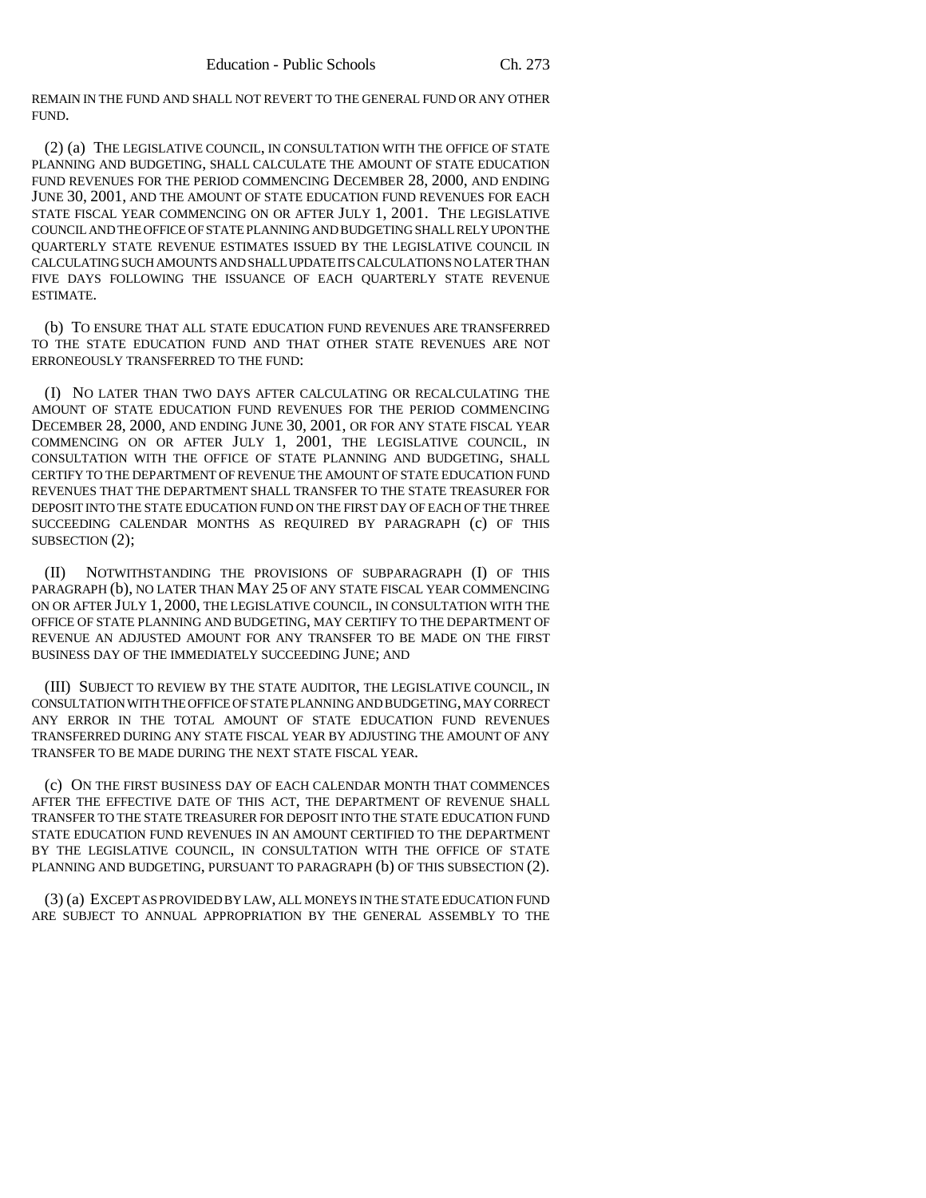REMAIN IN THE FUND AND SHALL NOT REVERT TO THE GENERAL FUND OR ANY OTHER FUND.

(2) (a) THE LEGISLATIVE COUNCIL, IN CONSULTATION WITH THE OFFICE OF STATE PLANNING AND BUDGETING, SHALL CALCULATE THE AMOUNT OF STATE EDUCATION FUND REVENUES FOR THE PERIOD COMMENCING DECEMBER 28, 2000, AND ENDING JUNE 30, 2001, AND THE AMOUNT OF STATE EDUCATION FUND REVENUES FOR EACH STATE FISCAL YEAR COMMENCING ON OR AFTER JULY 1, 2001. THE LEGISLATIVE COUNCIL AND THE OFFICE OF STATE PLANNING AND BUDGETING SHALL RELY UPON THE QUARTERLY STATE REVENUE ESTIMATES ISSUED BY THE LEGISLATIVE COUNCIL IN CALCULATING SUCH AMOUNTS AND SHALL UPDATE ITS CALCULATIONS NO LATER THAN FIVE DAYS FOLLOWING THE ISSUANCE OF EACH QUARTERLY STATE REVENUE ESTIMATE.

(b) TO ENSURE THAT ALL STATE EDUCATION FUND REVENUES ARE TRANSFERRED TO THE STATE EDUCATION FUND AND THAT OTHER STATE REVENUES ARE NOT ERRONEOUSLY TRANSFERRED TO THE FUND:

(I) NO LATER THAN TWO DAYS AFTER CALCULATING OR RECALCULATING THE AMOUNT OF STATE EDUCATION FUND REVENUES FOR THE PERIOD COMMENCING DECEMBER 28, 2000, AND ENDING JUNE 30, 2001, OR FOR ANY STATE FISCAL YEAR COMMENCING ON OR AFTER JULY 1, 2001, THE LEGISLATIVE COUNCIL, IN CONSULTATION WITH THE OFFICE OF STATE PLANNING AND BUDGETING, SHALL CERTIFY TO THE DEPARTMENT OF REVENUE THE AMOUNT OF STATE EDUCATION FUND REVENUES THAT THE DEPARTMENT SHALL TRANSFER TO THE STATE TREASURER FOR DEPOSIT INTO THE STATE EDUCATION FUND ON THE FIRST DAY OF EACH OF THE THREE SUCCEEDING CALENDAR MONTHS AS REQUIRED BY PARAGRAPH (c) OF THIS SUBSECTION (2);

(II) NOTWITHSTANDING THE PROVISIONS OF SUBPARAGRAPH (I) OF THIS PARAGRAPH (b), NO LATER THAN MAY 25 OF ANY STATE FISCAL YEAR COMMENCING ON OR AFTER JULY 1, 2000, THE LEGISLATIVE COUNCIL, IN CONSULTATION WITH THE OFFICE OF STATE PLANNING AND BUDGETING, MAY CERTIFY TO THE DEPARTMENT OF REVENUE AN ADJUSTED AMOUNT FOR ANY TRANSFER TO BE MADE ON THE FIRST BUSINESS DAY OF THE IMMEDIATELY SUCCEEDING JUNE; AND

(III) SUBJECT TO REVIEW BY THE STATE AUDITOR, THE LEGISLATIVE COUNCIL, IN CONSULTATION WITH THE OFFICE OF STATE PLANNING AND BUDGETING, MAY CORRECT ANY ERROR IN THE TOTAL AMOUNT OF STATE EDUCATION FUND REVENUES TRANSFERRED DURING ANY STATE FISCAL YEAR BY ADJUSTING THE AMOUNT OF ANY TRANSFER TO BE MADE DURING THE NEXT STATE FISCAL YEAR.

(c) ON THE FIRST BUSINESS DAY OF EACH CALENDAR MONTH THAT COMMENCES AFTER THE EFFECTIVE DATE OF THIS ACT, THE DEPARTMENT OF REVENUE SHALL TRANSFER TO THE STATE TREASURER FOR DEPOSIT INTO THE STATE EDUCATION FUND STATE EDUCATION FUND REVENUES IN AN AMOUNT CERTIFIED TO THE DEPARTMENT BY THE LEGISLATIVE COUNCIL, IN CONSULTATION WITH THE OFFICE OF STATE PLANNING AND BUDGETING, PURSUANT TO PARAGRAPH (b) OF THIS SUBSECTION (2).

(3) (a) EXCEPT AS PROVIDED BY LAW, ALL MONEYS IN THE STATE EDUCATION FUND ARE SUBJECT TO ANNUAL APPROPRIATION BY THE GENERAL ASSEMBLY TO THE